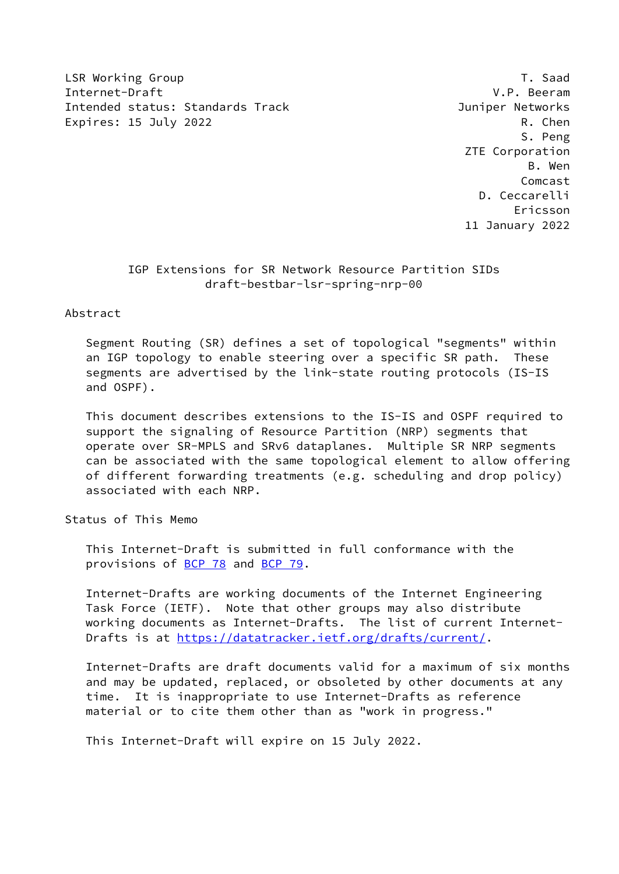LSR Working Group T. Saad Internet-Draft V.P. Beeram Intended status: Standards Track Juniper Networks Expires: 15 July 2022 R. Chen

 S. Peng ZTE Corporation B. Wen Comcast D. Ceccarelli Ericsson 11 January 2022

# IGP Extensions for SR Network Resource Partition SIDs draft-bestbar-lsr-spring-nrp-00

## Abstract

 Segment Routing (SR) defines a set of topological "segments" within an IGP topology to enable steering over a specific SR path. These segments are advertised by the link-state routing protocols (IS-IS and OSPF).

 This document describes extensions to the IS-IS and OSPF required to support the signaling of Resource Partition (NRP) segments that operate over SR-MPLS and SRv6 dataplanes. Multiple SR NRP segments can be associated with the same topological element to allow offering of different forwarding treatments (e.g. scheduling and drop policy) associated with each NRP.

## Status of This Memo

 This Internet-Draft is submitted in full conformance with the provisions of [BCP 78](https://datatracker.ietf.org/doc/pdf/bcp78) and [BCP 79](https://datatracker.ietf.org/doc/pdf/bcp79).

 Internet-Drafts are working documents of the Internet Engineering Task Force (IETF). Note that other groups may also distribute working documents as Internet-Drafts. The list of current Internet- Drafts is at<https://datatracker.ietf.org/drafts/current/>.

 Internet-Drafts are draft documents valid for a maximum of six months and may be updated, replaced, or obsoleted by other documents at any time. It is inappropriate to use Internet-Drafts as reference material or to cite them other than as "work in progress."

This Internet-Draft will expire on 15 July 2022.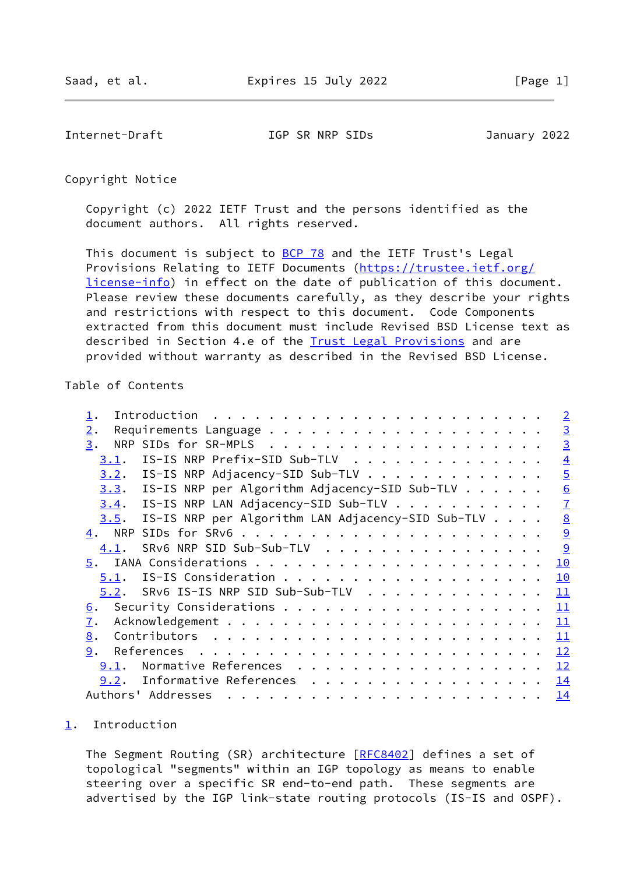<span id="page-1-1"></span>Internet-Draft IGP SR NRP SIDs January 2022

Copyright Notice

 Copyright (c) 2022 IETF Trust and the persons identified as the document authors. All rights reserved.

This document is subject to **[BCP 78](https://datatracker.ietf.org/doc/pdf/bcp78)** and the IETF Trust's Legal Provisions Relating to IETF Documents ([https://trustee.ietf.org/](https://trustee.ietf.org/license-info) [license-info](https://trustee.ietf.org/license-info)) in effect on the date of publication of this document. Please review these documents carefully, as they describe your rights and restrictions with respect to this document. Code Components extracted from this document must include Revised BSD License text as described in Section 4.e of the **Trust Legal Provisions** and are provided without warranty as described in the Revised BSD License.

### Table of Contents

|                  |                                                                                                                                                                                                                                                                                                                                                                                                                                                                |  |  | $\overline{2}$  |
|------------------|----------------------------------------------------------------------------------------------------------------------------------------------------------------------------------------------------------------------------------------------------------------------------------------------------------------------------------------------------------------------------------------------------------------------------------------------------------------|--|--|-----------------|
| 2.               |                                                                                                                                                                                                                                                                                                                                                                                                                                                                |  |  | $\overline{3}$  |
| 3.               |                                                                                                                                                                                                                                                                                                                                                                                                                                                                |  |  | $\overline{3}$  |
| 3.1.             | IS-IS NRP Prefix-SID Sub-TLV                                                                                                                                                                                                                                                                                                                                                                                                                                   |  |  | $\overline{4}$  |
|                  | 3.2. IS-IS NRP Adjacency-SID Sub-TLV                                                                                                                                                                                                                                                                                                                                                                                                                           |  |  | $\overline{5}$  |
|                  | $3.3$ . IS-IS NRP per Algorithm Adjacency-SID Sub-TLV                                                                                                                                                                                                                                                                                                                                                                                                          |  |  | 6               |
|                  | 3.4. IS-IS NRP LAN Adjacency-SID Sub-TLV                                                                                                                                                                                                                                                                                                                                                                                                                       |  |  | $\overline{1}$  |
| 3.5.             | IS-IS NRP per Algorithm LAN Adjacency-SID Sub-TLV                                                                                                                                                                                                                                                                                                                                                                                                              |  |  | $\underline{8}$ |
|                  |                                                                                                                                                                                                                                                                                                                                                                                                                                                                |  |  | $\overline{9}$  |
| 4.1.             | SRv6 NRP SID Sub-Sub-TLV                                                                                                                                                                                                                                                                                                                                                                                                                                       |  |  | 9               |
|                  |                                                                                                                                                                                                                                                                                                                                                                                                                                                                |  |  | 10              |
| 5.1.             |                                                                                                                                                                                                                                                                                                                                                                                                                                                                |  |  | 10              |
| 5.2.             | SRv6 IS-IS NRP SID Sub-Sub-TLV                                                                                                                                                                                                                                                                                                                                                                                                                                 |  |  | 11              |
| <u>6</u> .       |                                                                                                                                                                                                                                                                                                                                                                                                                                                                |  |  | 11              |
| $\overline{1}$ . |                                                                                                                                                                                                                                                                                                                                                                                                                                                                |  |  | <u> 11</u>      |
| 8.               |                                                                                                                                                                                                                                                                                                                                                                                                                                                                |  |  | 11              |
| 9.               |                                                                                                                                                                                                                                                                                                                                                                                                                                                                |  |  | 12              |
| 9.1.             | Normative References                                                                                                                                                                                                                                                                                                                                                                                                                                           |  |  | 12              |
| 9.2.             | Informative References                                                                                                                                                                                                                                                                                                                                                                                                                                         |  |  | <u> 14</u>      |
|                  | Authors' Addresses<br>$\mathbf{r}^{(i)} \cdot \mathbf{r}^{(i)} \cdot \mathbf{r}^{(i)} \cdot \mathbf{r}^{(i)} \cdot \mathbf{r}^{(i)} \cdot \mathbf{r}^{(i)} \cdot \mathbf{r}^{(i)} \cdot \mathbf{r}^{(i)} \cdot \mathbf{r}^{(i)} \cdot \mathbf{r}^{(i)} \cdot \mathbf{r}^{(i)} \cdot \mathbf{r}^{(i)} \cdot \mathbf{r}^{(i)} \cdot \mathbf{r}^{(i)} \cdot \mathbf{r}^{(i)} \cdot \mathbf{r}^{(i)} \cdot \mathbf{r}^{(i)} \cdot \mathbf{r}^{(i)} \cdot \mathbf{$ |  |  | 14              |

## <span id="page-1-0"></span>[1](#page-1-0). Introduction

The Segment Routing (SR) architecture [[RFC8402](https://datatracker.ietf.org/doc/pdf/rfc8402)] defines a set of topological "segments" within an IGP topology as means to enable steering over a specific SR end-to-end path. These segments are advertised by the IGP link-state routing protocols (IS-IS and OSPF).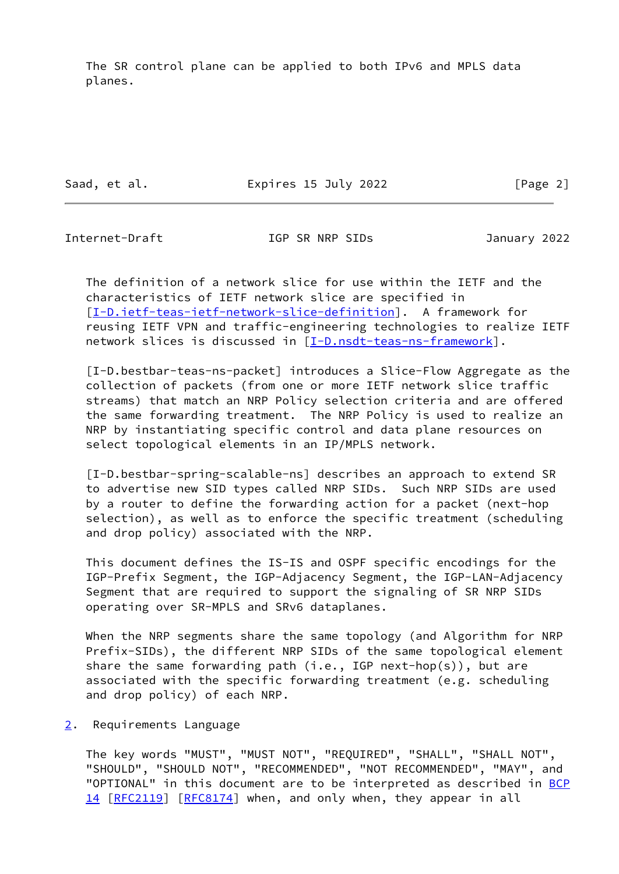The SR control plane can be applied to both IPv6 and MPLS data planes.

Saad, et al. **Expires 15 July 2022** [Page 2]

<span id="page-2-1"></span>

Internet-Draft IGP SR NRP SIDs January 2022

 The definition of a network slice for use within the IETF and the characteristics of IETF network slice are specified in [\[I-D.ietf-teas-ietf-network-slice-definition](#page-14-2)]. A framework for reusing IETF VPN and traffic-engineering technologies to realize IETF network slices is discussed in [\[I-D.nsdt-teas-ns-framework](#page-14-3)].

 [I-D.bestbar-teas-ns-packet] introduces a Slice-Flow Aggregate as the collection of packets (from one or more IETF network slice traffic streams) that match an NRP Policy selection criteria and are offered the same forwarding treatment. The NRP Policy is used to realize an NRP by instantiating specific control and data plane resources on select topological elements in an IP/MPLS network.

 [I-D.bestbar-spring-scalable-ns] describes an approach to extend SR to advertise new SID types called NRP SIDs. Such NRP SIDs are used by a router to define the forwarding action for a packet (next-hop selection), as well as to enforce the specific treatment (scheduling and drop policy) associated with the NRP.

 This document defines the IS-IS and OSPF specific encodings for the IGP-Prefix Segment, the IGP-Adjacency Segment, the IGP-LAN-Adjacency Segment that are required to support the signaling of SR NRP SIDs operating over SR-MPLS and SRv6 dataplanes.

 When the NRP segments share the same topology (and Algorithm for NRP Prefix-SIDs), the different NRP SIDs of the same topological element share the same forwarding path (i.e., IGP next-hop(s)), but are associated with the specific forwarding treatment (e.g. scheduling and drop policy) of each NRP.

<span id="page-2-0"></span>[2](#page-2-0). Requirements Language

 The key words "MUST", "MUST NOT", "REQUIRED", "SHALL", "SHALL NOT", "SHOULD", "SHOULD NOT", "RECOMMENDED", "NOT RECOMMENDED", "MAY", and "OPTIONAL" in this document are to be interpreted as described in [BCP](https://datatracker.ietf.org/doc/pdf/bcp14) [14](https://datatracker.ietf.org/doc/pdf/bcp14) [[RFC2119\]](https://datatracker.ietf.org/doc/pdf/rfc2119) [\[RFC8174](https://datatracker.ietf.org/doc/pdf/rfc8174)] when, and only when, they appear in all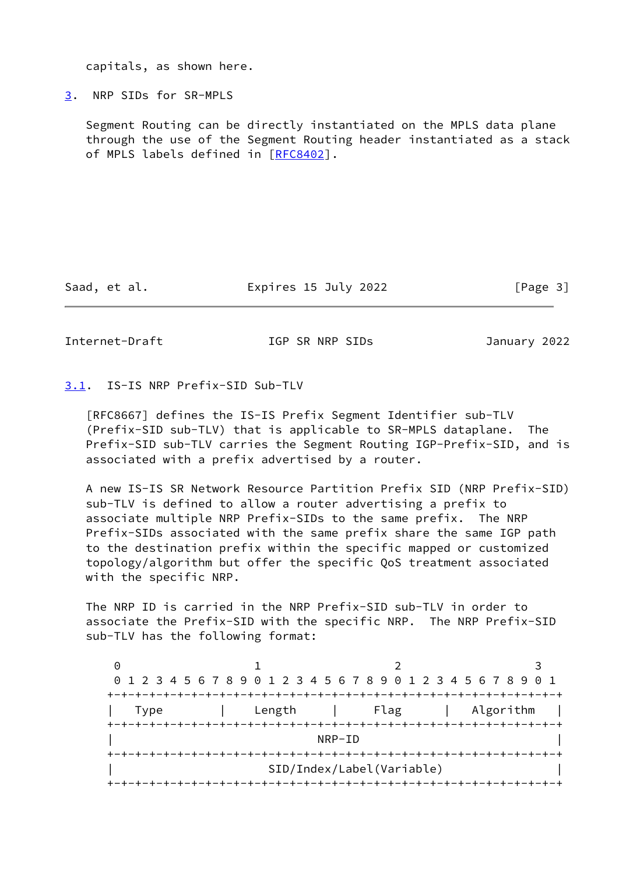capitals, as shown here.

<span id="page-3-0"></span>[3](#page-3-0). NRP SIDs for SR-MPLS

 Segment Routing can be directly instantiated on the MPLS data plane through the use of the Segment Routing header instantiated as a stack of MPLS labels defined in [[RFC8402](https://datatracker.ietf.org/doc/pdf/rfc8402)].

Saad, et al. **Expires 15 July 2022** [Page 3]

<span id="page-3-2"></span>Internet-Draft IGP SR NRP SIDs January 2022

<span id="page-3-1"></span>[3.1](#page-3-1). IS-IS NRP Prefix-SID Sub-TLV

 [RFC8667] defines the IS-IS Prefix Segment Identifier sub-TLV (Prefix-SID sub-TLV) that is applicable to SR-MPLS dataplane. The Prefix-SID sub-TLV carries the Segment Routing IGP-Prefix-SID, and is associated with a prefix advertised by a router.

 A new IS-IS SR Network Resource Partition Prefix SID (NRP Prefix-SID) sub-TLV is defined to allow a router advertising a prefix to associate multiple NRP Prefix-SIDs to the same prefix. The NRP Prefix-SIDs associated with the same prefix share the same IGP path to the destination prefix within the specific mapped or customized topology/algorithm but offer the specific QoS treatment associated with the specific NRP.

 The NRP ID is carried in the NRP Prefix-SID sub-TLV in order to associate the Prefix-SID with the specific NRP. The NRP Prefix-SID sub-TLV has the following format:

|      | 0 1 2 3 4 5 6 7 8 9 0 1 2 3 4 5 6 7 8 9 0 1 2 3 4 5 6 7 8 9 0 1 |                           |           |
|------|-----------------------------------------------------------------|---------------------------|-----------|
|      |                                                                 |                           |           |
| Type | Length                                                          | Flag                      | Algorithm |
|      |                                                                 |                           |           |
|      |                                                                 | NRP-ID                    |           |
|      |                                                                 |                           |           |
|      |                                                                 | SID/Index/Label(Variable) |           |
|      |                                                                 |                           |           |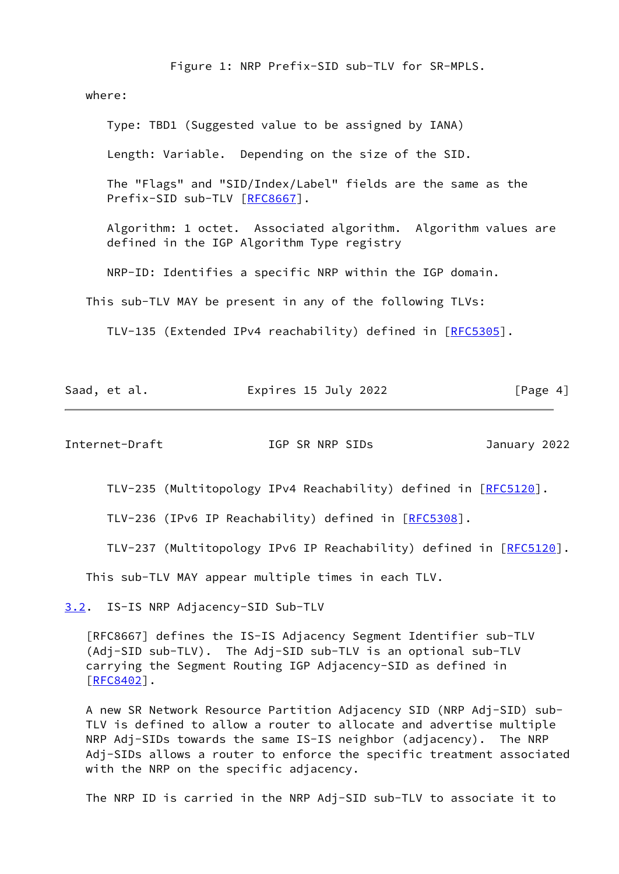Figure 1: NRP Prefix-SID sub-TLV for SR-MPLS.

where:

 Type: TBD1 (Suggested value to be assigned by IANA) Length: Variable. Depending on the size of the SID. The "Flags" and "SID/Index/Label" fields are the same as the Prefix-SID sub-TLV [[RFC8667](https://datatracker.ietf.org/doc/pdf/rfc8667)]. Algorithm: 1 octet. Associated algorithm. Algorithm values are defined in the IGP Algorithm Type registry NRP-ID: Identifies a specific NRP within the IGP domain. This sub-TLV MAY be present in any of the following TLVs:

TLV-135 (Extended IPv4 reachability) defined in [[RFC5305\]](https://datatracker.ietf.org/doc/pdf/rfc5305).

|--|

<span id="page-4-1"></span>Internet-Draft IGP SR NRP SIDs January 2022

TLV-235 (Multitopology IPv4 Reachability) defined in [\[RFC5120](https://datatracker.ietf.org/doc/pdf/rfc5120)].

TLV-236 (IPv6 IP Reachability) defined in [\[RFC5308](https://datatracker.ietf.org/doc/pdf/rfc5308)].

TLV-237 (Multitopology IPv6 IP Reachability) defined in [[RFC5120\]](https://datatracker.ietf.org/doc/pdf/rfc5120).

This sub-TLV MAY appear multiple times in each TLV.

<span id="page-4-0"></span>[3.2](#page-4-0). IS-IS NRP Adjacency-SID Sub-TLV

 [RFC8667] defines the IS-IS Adjacency Segment Identifier sub-TLV (Adj-SID sub-TLV). The Adj-SID sub-TLV is an optional sub-TLV carrying the Segment Routing IGP Adjacency-SID as defined in [\[RFC8402](https://datatracker.ietf.org/doc/pdf/rfc8402)].

 A new SR Network Resource Partition Adjacency SID (NRP Adj-SID) sub- TLV is defined to allow a router to allocate and advertise multiple NRP Adj-SIDs towards the same IS-IS neighbor (adjacency). The NRP Adj-SIDs allows a router to enforce the specific treatment associated with the NRP on the specific adjacency.

The NRP ID is carried in the NRP Adj-SID sub-TLV to associate it to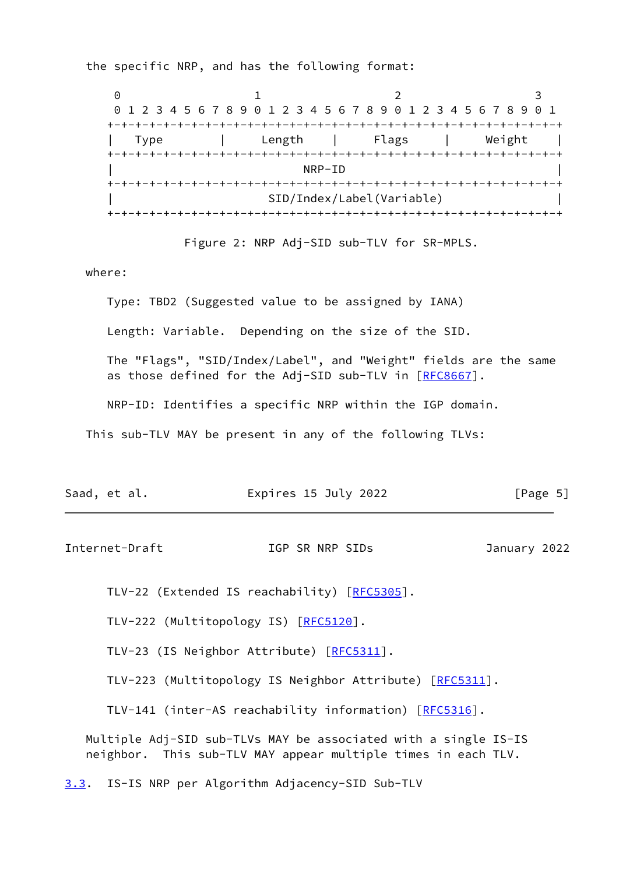the specific NRP, and has the following format:

0 1 2 3 0 1 2 3 4 5 6 7 8 9 0 1 2 3 4 5 6 7 8 9 0 1 2 3 4 5 6 7 8 9 0 1 +-+-+-+-+-+-+-+-+-+-+-+-+-+-+-+-+-+-+-+-+-+-+-+-+-+-+-+-+-+-+-+-+ | Type | Length | Flags | Weight | +-+-+-+-+-+-+-+-+-+-+-+-+-+-+-+-+-+-+-+-+-+-+-+-+-+-+-+-+-+-+-+-+  $\overline{\phantom{a}}$  NRP-ID  $\overline{\phantom{a}}$  +-+-+-+-+-+-+-+-+-+-+-+-+-+-+-+-+-+-+-+-+-+-+-+-+-+-+-+-+-+-+-+-+ | SID/Index/Label(Variable) | +-+-+-+-+-+-+-+-+-+-+-+-+-+-+-+-+-+-+-+-+-+-+-+-+-+-+-+-+-+-+-+-+

Figure 2: NRP Adj-SID sub-TLV for SR-MPLS.

where:

 Type: TBD2 (Suggested value to be assigned by IANA) Length: Variable. Depending on the size of the SID. The "Flags", "SID/Index/Label", and "Weight" fields are the same as those defined for the Adj-SID sub-TLV in [\[RFC8667](https://datatracker.ietf.org/doc/pdf/rfc8667)]. NRP-ID: Identifies a specific NRP within the IGP domain. This sub-TLV MAY be present in any of the following TLVs:

| Saad, et al. | Expires 15 July 2022 | [Page 5] |
|--------------|----------------------|----------|
|              |                      |          |

<span id="page-5-1"></span>Internet-Draft IGP SR NRP SIDs January 2022

TLV-22 (Extended IS reachability) [\[RFC5305](https://datatracker.ietf.org/doc/pdf/rfc5305)].

TLV-222 (Multitopology IS) [[RFC5120](https://datatracker.ietf.org/doc/pdf/rfc5120)].

TLV-23 (IS Neighbor Attribute) [[RFC5311](https://datatracker.ietf.org/doc/pdf/rfc5311)].

TLV-223 (Multitopology IS Neighbor Attribute) [\[RFC5311](https://datatracker.ietf.org/doc/pdf/rfc5311)].

TLV-141 (inter-AS reachability information) [\[RFC5316](https://datatracker.ietf.org/doc/pdf/rfc5316)].

 Multiple Adj-SID sub-TLVs MAY be associated with a single IS-IS neighbor. This sub-TLV MAY appear multiple times in each TLV.

<span id="page-5-0"></span>[3.3](#page-5-0). IS-IS NRP per Algorithm Adjacency-SID Sub-TLV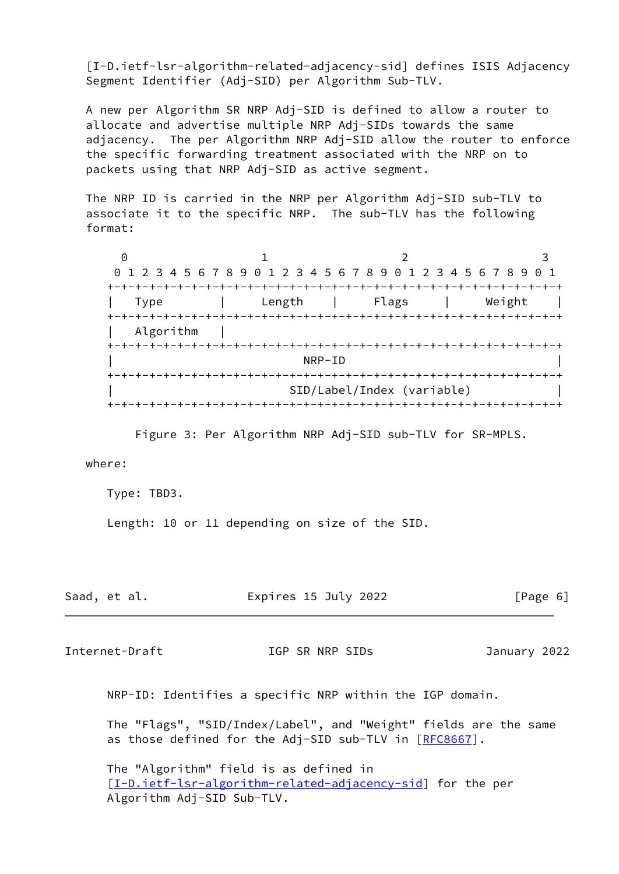<span id="page-6-1"></span> [I-D.ietf-lsr-algorithm-related-adjacency-sid] defines ISIS Adjacency Segment Identifier (Adj-SID) per Algorithm Sub-TLV.

 A new per Algorithm SR NRP Adj-SID is defined to allow a router to allocate and advertise multiple NRP Adj-SIDs towards the same adjacency. The per Algorithm NRP Adj-SID allow the router to enforce the specific forwarding treatment associated with the NRP on to packets using that NRP Adj-SID as active segment.

 The NRP ID is carried in the NRP per Algorithm Adj-SID sub-TLV to associate it to the specific NRP. The sub-TLV has the following format:

 $0$  1 2 3 0 1 2 3 4 5 6 7 8 9 0 1 2 3 4 5 6 7 8 9 0 1 2 3 4 5 6 7 8 9 0 1 +-+-+-+-+-+-+-+-+-+-+-+-+-+-+-+-+-+-+-+-+-+-+-+-+-+-+-+-+-+-+-+-+ | Type | Length | Flags | Weight | +-+-+-+-+-+-+-+-+-+-+-+-+-+-+-+-+-+-+-+-+-+-+-+-+-+-+-+-+-+-+-+-+ | Algorithm | +-+-+-+-+-+-+-+-+-+-+-+-+-+-+-+-+-+-+-+-+-+-+-+-+-+-+-+-+-+-+-+-+  $\overline{\phantom{a}}$  NRP-ID  $\overline{\phantom{a}}$  +-+-+-+-+-+-+-+-+-+-+-+-+-+-+-+-+-+-+-+-+-+-+-+-+-+-+-+-+-+-+-+-+ | SID/Label/Index (variable) | +-+-+-+-+-+-+-+-+-+-+-+-+-+-+-+-+-+-+-+-+-+-+-+-+-+-+-+-+-+-+-+-+

Figure 3: Per Algorithm NRP Adj-SID sub-TLV for SR-MPLS.

where:

Type: TBD3.

Length: 10 or 11 depending on size of the SID.

| Saad, et al. | Expires 15 July 2022 | [Page 6] |
|--------------|----------------------|----------|
|              |                      |          |

<span id="page-6-0"></span>Internet-Draft IGP SR NRP SIDs January 2022

NRP-ID: Identifies a specific NRP within the IGP domain.

 The "Flags", "SID/Index/Label", and "Weight" fields are the same as those defined for the Adj-SID sub-TLV in [\[RFC8667](https://datatracker.ietf.org/doc/pdf/rfc8667)].

 The "Algorithm" field is as defined in [[I-D.ietf-lsr-algorithm-related-adjacency-sid\]](#page-6-1) for the per Algorithm Adj-SID Sub-TLV.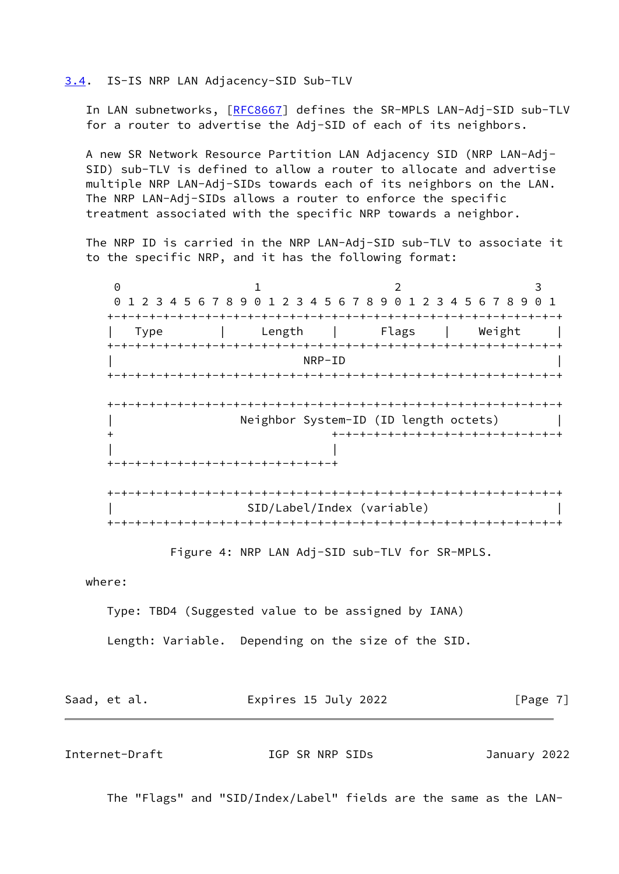### <span id="page-7-0"></span>[3.4](#page-7-0). IS-IS NRP LAN Adjacency-SID Sub-TLV

In LAN subnetworks, [\[RFC8667](https://datatracker.ietf.org/doc/pdf/rfc8667)] defines the SR-MPLS LAN-Adj-SID sub-TLV for a router to advertise the Adj-SID of each of its neighbors.

 A new SR Network Resource Partition LAN Adjacency SID (NRP LAN-Adj- SID) sub-TLV is defined to allow a router to allocate and advertise multiple NRP LAN-Adj-SIDs towards each of its neighbors on the LAN. The NRP LAN-Adj-SIDs allows a router to enforce the specific treatment associated with the specific NRP towards a neighbor.

 The NRP ID is carried in the NRP LAN-Adj-SID sub-TLV to associate it to the specific NRP, and it has the following format:

0 1 2 3 0 1 2 3 4 5 6 7 8 9 0 1 2 3 4 5 6 7 8 9 0 1 2 3 4 5 6 7 8 9 0 1 +-+-+-+-+-+-+-+-+-+-+-+-+-+-+-+-+-+-+-+-+-+-+-+-+-+-+-+-+-+-+-+-+ | Type | Length | Flags | Weight | +-+-+-+-+-+-+-+-+-+-+-+-+-+-+-+-+-+-+-+-+-+-+-+-+-+-+-+-+-+-+-+-+  $\overline{\phantom{a}}$  NRP-ID  $\overline{\phantom{a}}$  +-+-+-+-+-+-+-+-+-+-+-+-+-+-+-+-+-+-+-+-+-+-+-+-+-+-+-+-+-+-+-+-+ +-+-+-+-+-+-+-+-+-+-+-+-+-+-+-+-+-+-+-+-+-+-+-+-+-+-+-+-+-+-+-+-+ Neighbor System-ID (ID length octets) | + +-+-+-+-+-+-+-+-+-+-+-+-+-+-+-+-+ | | +-+-+-+-+-+-+-+-+-+-+-+-+-+-+-+-+ +-+-+-+-+-+-+-+-+-+-+-+-+-+-+-+-+-+-+-+-+-+-+-+-+-+-+-+-+-+-+-+-+ | SID/Label/Index (variable) | +-+-+-+-+-+-+-+-+-+-+-+-+-+-+-+-+-+-+-+-+-+-+-+-+-+-+-+-+-+-+-+-+

Figure 4: NRP LAN Adj-SID sub-TLV for SR-MPLS.

where:

Type: TBD4 (Suggested value to be assigned by IANA)

Length: Variable. Depending on the size of the SID.

| Saad, et al. | Expires 15 July 2022 | [Page $7$ ] |
|--------------|----------------------|-------------|
|              |                      |             |

<span id="page-7-1"></span>Internet-Draft IGP SR NRP SIDs January 2022

The "Flags" and "SID/Index/Label" fields are the same as the LAN-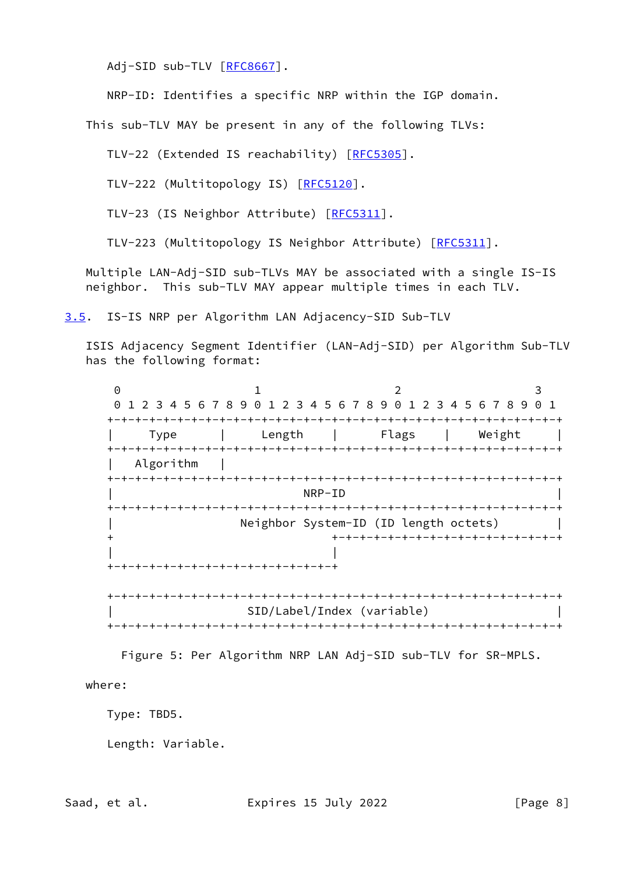Adj-SID sub-TLV [[RFC8667\]](https://datatracker.ietf.org/doc/pdf/rfc8667).

NRP-ID: Identifies a specific NRP within the IGP domain.

This sub-TLV MAY be present in any of the following TLVs:

TLV-22 (Extended IS reachability) [\[RFC5305](https://datatracker.ietf.org/doc/pdf/rfc5305)].

TLV-222 (Multitopology IS) [[RFC5120](https://datatracker.ietf.org/doc/pdf/rfc5120)].

TLV-23 (IS Neighbor Attribute) [[RFC5311](https://datatracker.ietf.org/doc/pdf/rfc5311)].

TLV-223 (Multitopology IS Neighbor Attribute) [\[RFC5311](https://datatracker.ietf.org/doc/pdf/rfc5311)].

 Multiple LAN-Adj-SID sub-TLVs MAY be associated with a single IS-IS neighbor. This sub-TLV MAY appear multiple times in each TLV.

<span id="page-8-0"></span>[3.5](#page-8-0). IS-IS NRP per Algorithm LAN Adjacency-SID Sub-TLV

 ISIS Adjacency Segment Identifier (LAN-Adj-SID) per Algorithm Sub-TLV has the following format:

0 1 2 3 0 1 2 3 4 5 6 7 8 9 0 1 2 3 4 5 6 7 8 9 0 1 2 3 4 5 6 7 8 9 0 1 +-+-+-+-+-+-+-+-+-+-+-+-+-+-+-+-+-+-+-+-+-+-+-+-+-+-+-+-+-+-+-+-+ | Type | Length | Flags | Weight | +-+-+-+-+-+-+-+-+-+-+-+-+-+-+-+-+-+-+-+-+-+-+-+-+-+-+-+-+-+-+-+-+ | Algorithm | +-+-+-+-+-+-+-+-+-+-+-+-+-+-+-+-+-+-+-+-+-+-+-+-+-+-+-+-+-+-+-+-+  $\overline{\phantom{a}}$  NRP-ID  $\overline{\phantom{a}}$  +-+-+-+-+-+-+-+-+-+-+-+-+-+-+-+-+-+-+-+-+-+-+-+-+-+-+-+-+-+-+-+-+ Neighbor System-ID (ID length octets) + +-+-+-+-+-+-+-+-+-+-+-+-+-+-+-+-+ | | +-+-+-+-+-+-+-+-+-+-+-+-+-+-+-+-+ +-+-+-+-+-+-+-+-+-+-+-+-+-+-+-+-+-+-+-+-+-+-+-+-+-+-+-+-+-+-+-+-+ | SID/Label/Index (variable) | +-+-+-+-+-+-+-+-+-+-+-+-+-+-+-+-+-+-+-+-+-+-+-+-+-+-+-+-+-+-+-+-+

Figure 5: Per Algorithm NRP LAN Adj-SID sub-TLV for SR-MPLS.

where:

Type: TBD5.

Length: Variable.

Saad, et al. **Expires 15 July 2022** [Page 8]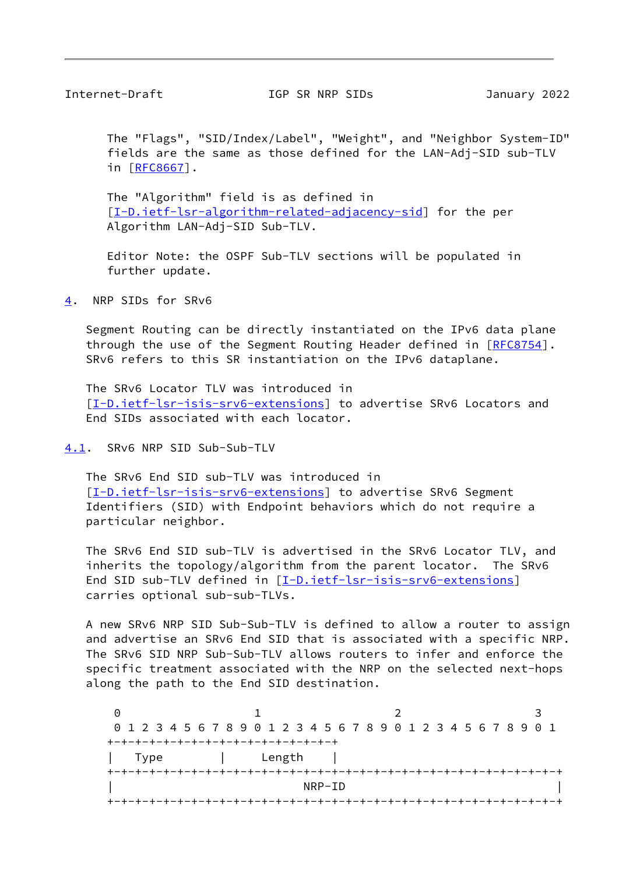<span id="page-9-1"></span>Internet-Draft IGP SR NRP SIDs January 2022

 The "Flags", "SID/Index/Label", "Weight", and "Neighbor System-ID" fields are the same as those defined for the LAN-Adj-SID sub-TLV in [[RFC8667](https://datatracker.ietf.org/doc/pdf/rfc8667)].

 The "Algorithm" field is as defined in [[I-D.ietf-lsr-algorithm-related-adjacency-sid\]](#page-6-1) for the per Algorithm LAN-Adj-SID Sub-TLV.

 Editor Note: the OSPF Sub-TLV sections will be populated in further update.

<span id="page-9-0"></span>[4](#page-9-0). NRP SIDs for SRv6

 Segment Routing can be directly instantiated on the IPv6 data plane through the use of the Segment Routing Header defined in [\[RFC8754](https://datatracker.ietf.org/doc/pdf/rfc8754)]. SRv6 refers to this SR instantiation on the IPv6 dataplane.

 The SRv6 Locator TLV was introduced in [\[I-D.ietf-lsr-isis-srv6-extensions](#page-13-0)] to advertise SRv6 Locators and End SIDs associated with each locator.

<span id="page-9-2"></span>[4.1](#page-9-2). SRv6 NRP SID Sub-Sub-TLV

 The SRv6 End SID sub-TLV was introduced in [\[I-D.ietf-lsr-isis-srv6-extensions](#page-13-0)] to advertise SRv6 Segment Identifiers (SID) with Endpoint behaviors which do not require a particular neighbor.

 The SRv6 End SID sub-TLV is advertised in the SRv6 Locator TLV, and inherits the topology/algorithm from the parent locator. The SRv6 End SID sub-TLV defined in [[I-D.ietf-lsr-isis-srv6-extensions\]](#page-13-0) carries optional sub-sub-TLVs.

 A new SRv6 NRP SID Sub-Sub-TLV is defined to allow a router to assign and advertise an SRv6 End SID that is associated with a specific NRP. The SRv6 SID NRP Sub-Sub-TLV allows routers to infer and enforce the specific treatment associated with the NRP on the selected next-hops along the path to the End SID destination.

0 1 2 3 0 1 2 3 4 5 6 7 8 9 0 1 2 3 4 5 6 7 8 9 0 1 2 3 4 5 6 7 8 9 0 1 +-+-+-+-+-+-+-+-+-+-+-+-+-+-+-+-+ | Type | Length | +-+-+-+-+-+-+-+-+-+-+-+-+-+-+-+-+-+-+-+-+-+-+-+-+-+-+-+-+-+-+-+-+  $\overline{\phantom{a}}$  NRP-ID  $\overline{\phantom{a}}$ +-+-+-+-+-+-+-+-+-+-+-+-+-+-+-+-+-+-+-+-+-+-+-+-+-+-+-+-+-+-+-+-+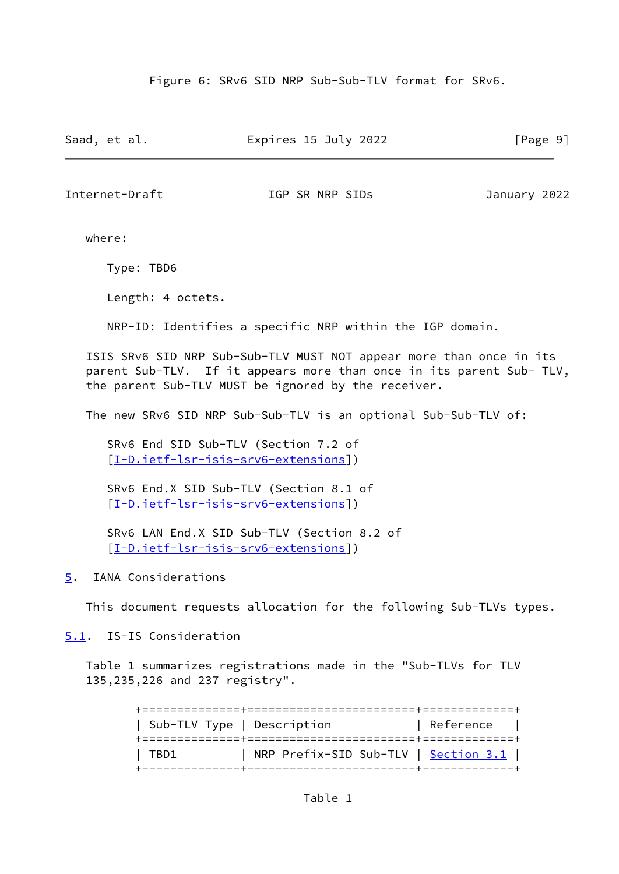Figure 6: SRv6 SID NRP Sub-Sub-TLV format for SRv6.

Saad, et al. **Expires 15 July 2022** [Page 9]

<span id="page-10-1"></span>Internet-Draft IGP SR NRP SIDs January 2022

where:

Type: TBD6

Length: 4 octets.

NRP-ID: Identifies a specific NRP within the IGP domain.

 ISIS SRv6 SID NRP Sub-Sub-TLV MUST NOT appear more than once in its parent Sub-TLV. If it appears more than once in its parent Sub- TLV, the parent Sub-TLV MUST be ignored by the receiver.

The new SRv6 SID NRP Sub-Sub-TLV is an optional Sub-Sub-TLV of:

 SRv6 End SID Sub-TLV (Section 7.2 of [[I-D.ietf-lsr-isis-srv6-extensions\]](#page-13-0))

 SRv6 End.X SID Sub-TLV (Section 8.1 of [[I-D.ietf-lsr-isis-srv6-extensions\]](#page-13-0))

 SRv6 LAN End.X SID Sub-TLV (Section 8.2 of [[I-D.ietf-lsr-isis-srv6-extensions\]](#page-13-0))

<span id="page-10-0"></span>[5](#page-10-0). IANA Considerations

This document requests allocation for the following Sub-TLVs types.

<span id="page-10-2"></span>[5.1](#page-10-2). IS-IS Consideration

 Table 1 summarizes registrations made in the "Sub-TLVs for TLV 135,235,226 and 237 registry".

> +==============+========================+=============+ | Sub-TLV Type | Description | Reference | +==============+========================+=============+ | TBD1 | NRP Prefix-SID Sub-TLV | <u>Section 3.1</u> | +--------------+------------------------+-------------+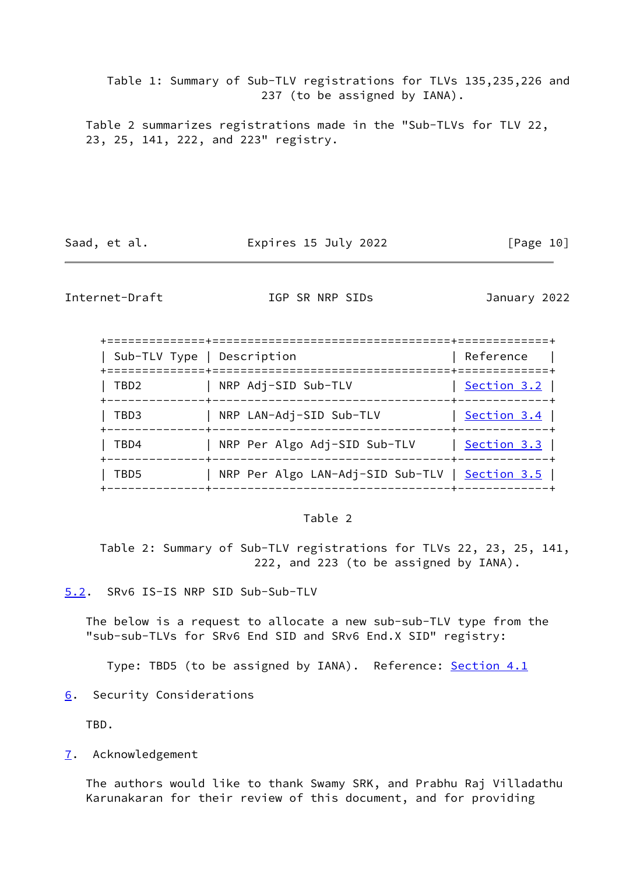Table 1: Summary of Sub-TLV registrations for TLVs 135,235,226 and 237 (to be assigned by IANA).

 Table 2 summarizes registrations made in the "Sub-TLVs for TLV 22, 23, 25, 141, 222, and 223" registry.

Saad, et al. **Expires 15 July 2022** [Page 10]

<span id="page-11-1"></span>Internet-Draft IGP SR NRP SIDs January 2022

| Sub-TLV Type   Description |                                                                                   | Reference                             |
|----------------------------|-----------------------------------------------------------------------------------|---------------------------------------|
| TBD <sub>2</sub>           | NRP Adj-SID Sub-TLV                                                               | Section $3.2$<br>-----+-------------  |
| TBD3                       | NRP LAN-Adj-SID Sub-TLV                                                           | Section $3.4$<br>-----+-------------+ |
| TBD4                       | NRP Per Algo Adj-SID Sub-TLV<br>----------------------+------------               | Section $3.3$                         |
| TBD5                       | NRP Per Algo LAN-Adj-SID Sub-TLV   Section 3.5  <br>-----------------------+----- |                                       |

#### Table 2

 Table 2: Summary of Sub-TLV registrations for TLVs 22, 23, 25, 141, 222, and 223 (to be assigned by IANA).

<span id="page-11-0"></span>[5.2](#page-11-0). SRv6 IS-IS NRP SID Sub-Sub-TLV

 The below is a request to allocate a new sub-sub-TLV type from the "sub-sub-TLVs for SRv6 End SID and SRv6 End.X SID" registry:

Type: TBD5 (to be assigned by IANA). Reference: [Section 4.1](#page-9-2)

<span id="page-11-2"></span>[6](#page-11-2). Security Considerations

TBD.

<span id="page-11-3"></span>[7](#page-11-3). Acknowledgement

 The authors would like to thank Swamy SRK, and Prabhu Raj Villadathu Karunakaran for their review of this document, and for providing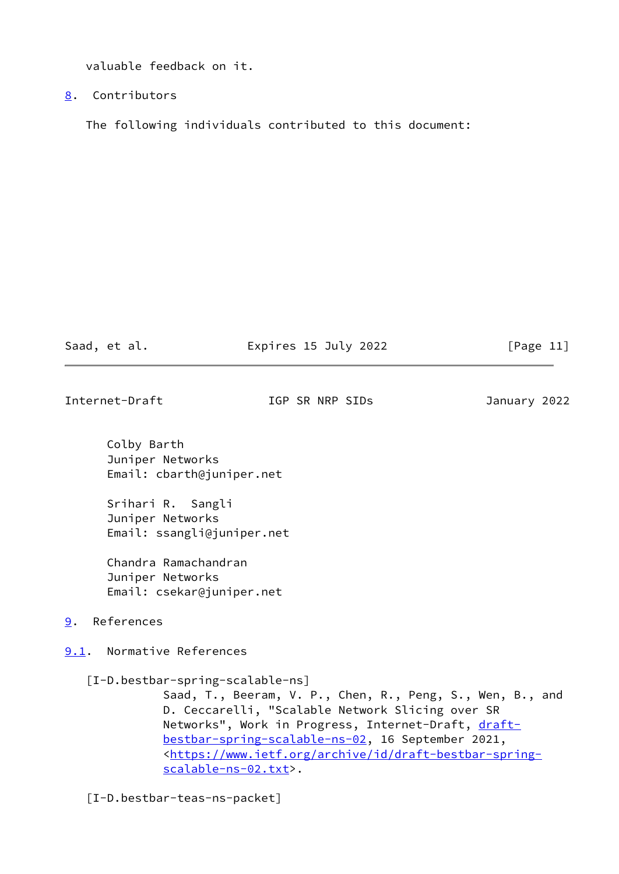valuable feedback on it.

<span id="page-12-0"></span>[8](#page-12-0). Contributors

The following individuals contributed to this document:

Saad, et al. **Expires 15 July 2022** [Page 11]

<span id="page-12-2"></span>Internet-Draft IGP SR NRP SIDs January 2022

 Colby Barth Juniper Networks Email: cbarth@juniper.net

 Srihari R. Sangli Juniper Networks Email: ssangli@juniper.net

 Chandra Ramachandran Juniper Networks Email: csekar@juniper.net

<span id="page-12-1"></span>[9](#page-12-1). References

<span id="page-12-3"></span>[9.1](#page-12-3). Normative References

[I-D.bestbar-spring-scalable-ns]

 Saad, T., Beeram, V. P., Chen, R., Peng, S., Wen, B., and D. Ceccarelli, "Scalable Network Slicing over SR Networks", Work in Progress, Internet-Draft, [draft](https://datatracker.ietf.org/doc/pdf/draft-bestbar-spring-scalable-ns-02) [bestbar-spring-scalable-ns-02,](https://datatracker.ietf.org/doc/pdf/draft-bestbar-spring-scalable-ns-02) 16 September 2021, <[https://www.ietf.org/archive/id/draft-bestbar-spring](https://www.ietf.org/archive/id/draft-bestbar-spring-scalable-ns-02.txt) [scalable-ns-02.txt>](https://www.ietf.org/archive/id/draft-bestbar-spring-scalable-ns-02.txt).

[I-D.bestbar-teas-ns-packet]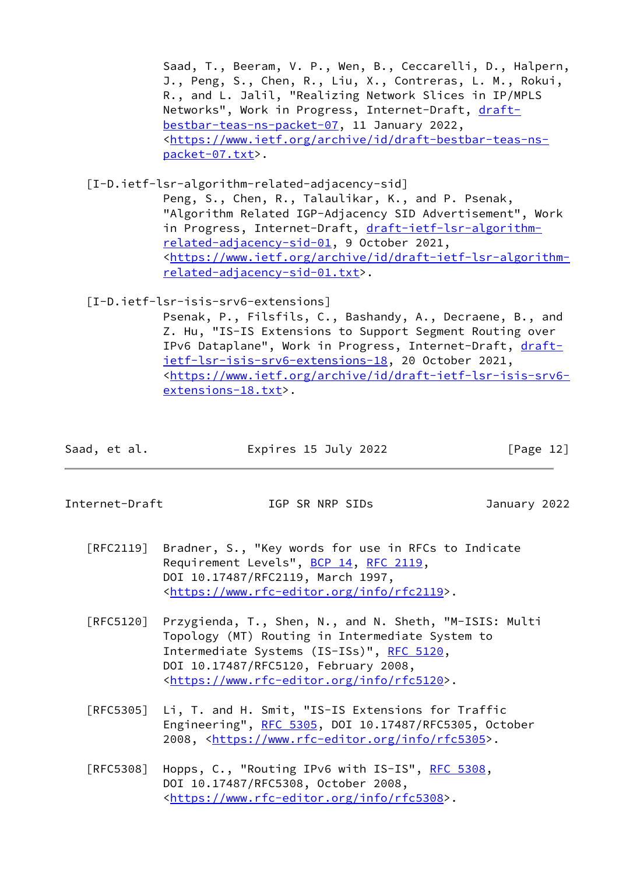Saad, T., Beeram, V. P., Wen, B., Ceccarelli, D., Halpern, J., Peng, S., Chen, R., Liu, X., Contreras, L. M., Rokui, R., and L. Jalil, "Realizing Network Slices in IP/MPLS Networks", Work in Progress, Internet-Draft, [draft](https://datatracker.ietf.org/doc/pdf/draft-bestbar-teas-ns-packet-07) [bestbar-teas-ns-packet-07,](https://datatracker.ietf.org/doc/pdf/draft-bestbar-teas-ns-packet-07) 11 January 2022, <[https://www.ietf.org/archive/id/draft-bestbar-teas-ns](https://www.ietf.org/archive/id/draft-bestbar-teas-ns-packet-07.txt) [packet-07.txt>](https://www.ietf.org/archive/id/draft-bestbar-teas-ns-packet-07.txt).

[I-D.ietf-lsr-algorithm-related-adjacency-sid]

 Peng, S., Chen, R., Talaulikar, K., and P. Psenak, "Algorithm Related IGP-Adjacency SID Advertisement", Work in Progress, Internet-Draft, [draft-ietf-lsr-algorithm](https://datatracker.ietf.org/doc/pdf/draft-ietf-lsr-algorithm-related-adjacency-sid-01) [related-adjacency-sid-01,](https://datatracker.ietf.org/doc/pdf/draft-ietf-lsr-algorithm-related-adjacency-sid-01) 9 October 2021, <[https://www.ietf.org/archive/id/draft-ietf-lsr-algorithm](https://www.ietf.org/archive/id/draft-ietf-lsr-algorithm-related-adjacency-sid-01.txt) [related-adjacency-sid-01.txt>](https://www.ietf.org/archive/id/draft-ietf-lsr-algorithm-related-adjacency-sid-01.txt).

# <span id="page-13-0"></span>[I-D.ietf-lsr-isis-srv6-extensions]

 Psenak, P., Filsfils, C., Bashandy, A., Decraene, B., and Z. Hu, "IS-IS Extensions to Support Segment Routing over IPv6 Dataplane", Work in Progress, Internet-Draft, [draft](https://datatracker.ietf.org/doc/pdf/draft-ietf-lsr-isis-srv6-extensions-18) [ietf-lsr-isis-srv6-extensions-18,](https://datatracker.ietf.org/doc/pdf/draft-ietf-lsr-isis-srv6-extensions-18) 20 October 2021, <[https://www.ietf.org/archive/id/draft-ietf-lsr-isis-srv6](https://www.ietf.org/archive/id/draft-ietf-lsr-isis-srv6-extensions-18.txt) [extensions-18.txt>](https://www.ietf.org/archive/id/draft-ietf-lsr-isis-srv6-extensions-18.txt).

| Saad, et al. | Expires 15 July 2022 | [Page 12] |
|--------------|----------------------|-----------|
|              |                      |           |

Internet-Draft IGP SR NRP SIDs January 2022

- [RFC2119] Bradner, S., "Key words for use in RFCs to Indicate Requirement Levels", [BCP 14](https://datatracker.ietf.org/doc/pdf/bcp14), [RFC 2119](https://datatracker.ietf.org/doc/pdf/rfc2119), DOI 10.17487/RFC2119, March 1997, <[https://www.rfc-editor.org/info/rfc2119>](https://www.rfc-editor.org/info/rfc2119).
- [RFC5120] Przygienda, T., Shen, N., and N. Sheth, "M-ISIS: Multi Topology (MT) Routing in Intermediate System to Intermediate Systems (IS-ISs)", [RFC 5120,](https://datatracker.ietf.org/doc/pdf/rfc5120) DOI 10.17487/RFC5120, February 2008, <[https://www.rfc-editor.org/info/rfc5120>](https://www.rfc-editor.org/info/rfc5120).
- [RFC5305] Li, T. and H. Smit, "IS-IS Extensions for Traffic Engineering", [RFC 5305](https://datatracker.ietf.org/doc/pdf/rfc5305), DOI 10.17487/RFC5305, October 2008, [<https://www.rfc-editor.org/info/rfc5305](https://www.rfc-editor.org/info/rfc5305)>.
- [RFC5308] Hopps, C., "Routing IPv6 with IS-IS", [RFC 5308](https://datatracker.ietf.org/doc/pdf/rfc5308), DOI 10.17487/RFC5308, October 2008, <[https://www.rfc-editor.org/info/rfc5308>](https://www.rfc-editor.org/info/rfc5308).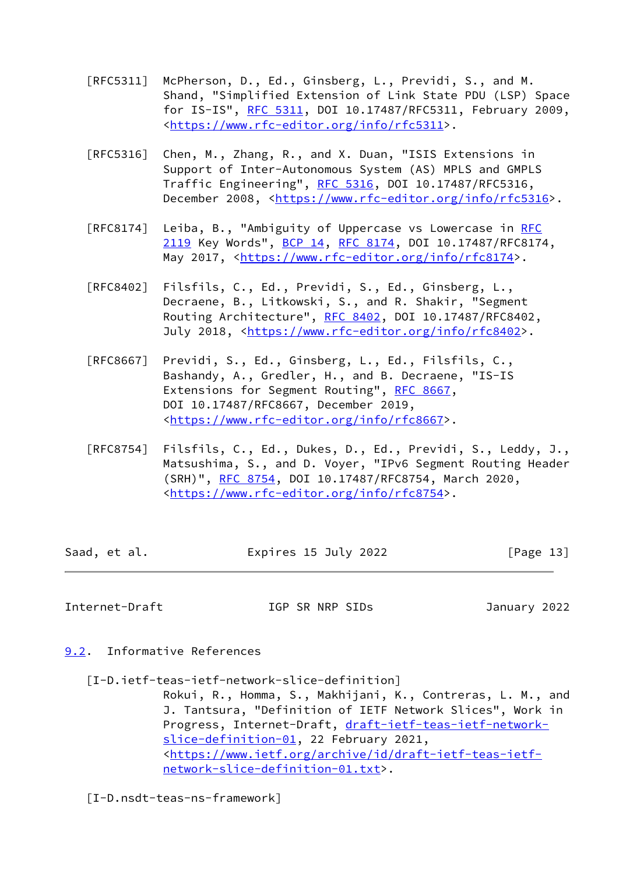- [RFC5311] McPherson, D., Ed., Ginsberg, L., Previdi, S., and M. Shand, "Simplified Extension of Link State PDU (LSP) Space for IS-IS", [RFC 5311,](https://datatracker.ietf.org/doc/pdf/rfc5311) DOI 10.17487/RFC5311, February 2009, <[https://www.rfc-editor.org/info/rfc5311>](https://www.rfc-editor.org/info/rfc5311).
- [RFC5316] Chen, M., Zhang, R., and X. Duan, "ISIS Extensions in Support of Inter-Autonomous System (AS) MPLS and GMPLS Traffic Engineering", [RFC 5316](https://datatracker.ietf.org/doc/pdf/rfc5316), DOI 10.17487/RFC5316, December 2008, <<https://www.rfc-editor.org/info/rfc5316>>.
- [RFC8174] Leiba, B., "Ambiguity of Uppercase vs Lowercase in [RFC](https://datatracker.ietf.org/doc/pdf/rfc2119) [2119](https://datatracker.ietf.org/doc/pdf/rfc2119) Key Words", [BCP 14](https://datatracker.ietf.org/doc/pdf/bcp14), [RFC 8174,](https://datatracker.ietf.org/doc/pdf/rfc8174) DOI 10.17487/RFC8174, May 2017, [<https://www.rfc-editor.org/info/rfc8174](https://www.rfc-editor.org/info/rfc8174)>.
- [RFC8402] Filsfils, C., Ed., Previdi, S., Ed., Ginsberg, L., Decraene, B., Litkowski, S., and R. Shakir, "Segment Routing Architecture", [RFC 8402](https://datatracker.ietf.org/doc/pdf/rfc8402), DOI 10.17487/RFC8402, July 2018, <<https://www.rfc-editor.org/info/rfc8402>>.
- [RFC8667] Previdi, S., Ed., Ginsberg, L., Ed., Filsfils, C., Bashandy, A., Gredler, H., and B. Decraene, "IS-IS Extensions for Segment Routing", [RFC 8667,](https://datatracker.ietf.org/doc/pdf/rfc8667) DOI 10.17487/RFC8667, December 2019, <[https://www.rfc-editor.org/info/rfc8667>](https://www.rfc-editor.org/info/rfc8667).
- [RFC8754] Filsfils, C., Ed., Dukes, D., Ed., Previdi, S., Leddy, J., Matsushima, S., and D. Voyer, "IPv6 Segment Routing Header (SRH)", [RFC 8754,](https://datatracker.ietf.org/doc/pdf/rfc8754) DOI 10.17487/RFC8754, March 2020, <[https://www.rfc-editor.org/info/rfc8754>](https://www.rfc-editor.org/info/rfc8754).

| Saad, et al. | Expires 15 July 2022 | [Page 13] |
|--------------|----------------------|-----------|
|              |                      |           |

<span id="page-14-1"></span>Internet-Draft IGP SR NRP SIDs January 2022

- <span id="page-14-2"></span><span id="page-14-0"></span>[9.2](#page-14-0). Informative References
	- [I-D.ietf-teas-ietf-network-slice-definition]

 Rokui, R., Homma, S., Makhijani, K., Contreras, L. M., and J. Tantsura, "Definition of IETF Network Slices", Work in Progress, Internet-Draft, [draft-ietf-teas-ietf-network](https://datatracker.ietf.org/doc/pdf/draft-ietf-teas-ietf-network-slice-definition-01) [slice-definition-01](https://datatracker.ietf.org/doc/pdf/draft-ietf-teas-ietf-network-slice-definition-01), 22 February 2021, <[https://www.ietf.org/archive/id/draft-ietf-teas-ietf](https://www.ietf.org/archive/id/draft-ietf-teas-ietf-network-slice-definition-01.txt) [network-slice-definition-01.txt](https://www.ietf.org/archive/id/draft-ietf-teas-ietf-network-slice-definition-01.txt)>.

<span id="page-14-3"></span>[I-D.nsdt-teas-ns-framework]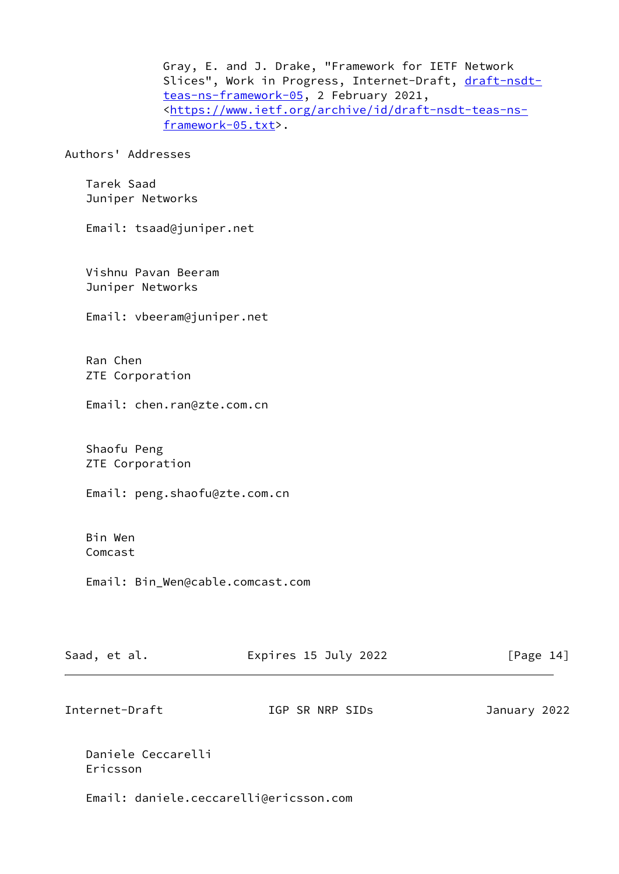Gray, E. and J. Drake, "Framework for IETF Network Slices", Work in Progress, Internet-Draft, [draft-nsdt](https://datatracker.ietf.org/doc/pdf/draft-nsdt-teas-ns-framework-05) [teas-ns-framework-05,](https://datatracker.ietf.org/doc/pdf/draft-nsdt-teas-ns-framework-05) 2 February 2021, <[https://www.ietf.org/archive/id/draft-nsdt-teas-ns](https://www.ietf.org/archive/id/draft-nsdt-teas-ns-framework-05.txt) [framework-05.txt>](https://www.ietf.org/archive/id/draft-nsdt-teas-ns-framework-05.txt).

Authors' Addresses

 Tarek Saad Juniper Networks

Email: tsaad@juniper.net

 Vishnu Pavan Beeram Juniper Networks

Email: vbeeram@juniper.net

 Ran Chen ZTE Corporation

Email: chen.ran@zte.com.cn

 Shaofu Peng ZTE Corporation

Email: peng.shaofu@zte.com.cn

 Bin Wen Comcast

Email: Bin\_Wen@cable.comcast.com

| Saad, et al. | Expires 15 July 2022 | [Page 14] |
|--------------|----------------------|-----------|
|              |                      |           |

Internet-Draft IGP SR NRP SIDs January 2022

 Daniele Ceccarelli Ericsson

Email: daniele.ceccarelli@ericsson.com